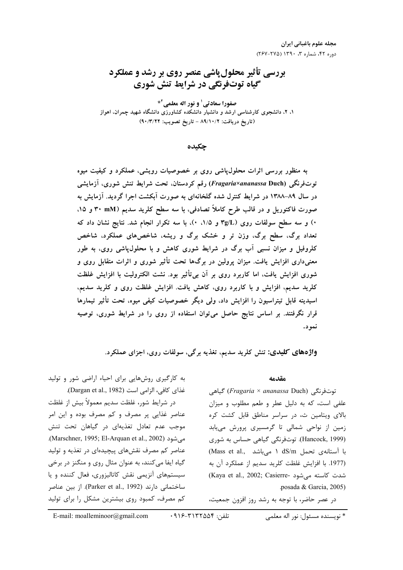# بررسی تأثیر محلول یاشی عنصر روی بر رشد و عملکرد گیاه توتورنگی در شرایط تنش شوری

صفورا سعادتی<sup>1</sup> و نور اله معلمی<sup>2\*</sup> ۱، ۲، دانشجوی کارشناسی ارشد و دانشیار دانشکده کشاورزی دانشگاه شهید چمران، اهواز (تاريخ دريافت: ٨٩/١٠/٢ - تاريخ تصويب: ٩٠/٣/٢٢)

حكىدە

به منظور بررسی اثرات محلولپاشی روی بر خصوصیات رویشی، عملکرد و کیفیت میوه توتفرنگی (Fragaria×ananassa Duch) رقم کردستان. تحت شرایط تنش شوری، آزمایشی در سال ۸۹–۱۳۸۸ در شرایط کنترل شده گلخانهای به صورت آبکشت اجرا گردید. آزمایش به صورت فاکتوریل و در قالب طرح کاملاً تصادفی، با سه سطح کلرید سدیم (۳۰ mM و ۱۵. ۰) و سه سطح سولفات روی (۳g/L و ۱/۵، ۰)، با سه تکرار انجام شد. نتایج نشان داد که تعداد برگ، سطح برگ، وزن تر و خشک برگ و ریشه، شاخصهای عملکرد، شاخص کلروفیل و میزان نسبی آب برگ در شرایط شوری کاهش و با محلول،یاشی روی، به طور معنیداری افزایش یافت. میزان پرولین در برگها تحت تأثیر شوری و اثرات متقابل روی و شوری افزایش یافت، اما کاربرد روی بر آن بیbتأثیر بود. نشت الکترولیت با افزایش غلظت کلرید سدیم، افزایش و با کاربرد روی، کاهش یافت. افزایش غلظت روی و کلرید سدیم، اسیدیته قابل تیتراسیون را افزایش داد، ولی دیگر خصوصیات کیفی میوه، تحت تأثیر تیمارها قرار نگرفتند. بر اساس نتایج حاصل میتوان استفاده از روی را در شرایط شوری، توصیه نمو د.

واژههای کلیدی: تنش کلرید سدیم، تغذیه برگی، سولفات روی، اجزای عملکرد.

### مقدمه

توتفرنگی (*Fragaria × ananassa* Duch) گیاهی علفی است، که به دلیل عطر و طعم مطلوب و میزان بالای ویتامین ث، در سراسر مناطق قابل کشت کره زمین از نواحی شمالی تا گرمسیری پرورش مییابد (Hancock, 1999). توتفرنگی گیاهی حساس به شوری با آستانهی تحمل dS/m ١ میباشد ..Mass et al (1977. با افزایش غلظت کلرید سدیم از عملکرد آن به (Kaya et al., 2002; Casierre- شدت كاسته مى شود posada & Garcia, 2005).

در عصر حاضر، با توجه به رشد روز افزون جمعیت،

به کارگیری روشهایی برای احیاء اراضی شور و تولید غذای کافی، الزامی است (Dargan et al., 1982). در شرایط شور، غلظت سدیم معمولاً بیش از غلظت عناصر غذایی پر مصرف و کم مصرف بوده و این امر موجب عدم تعادل تغذیهای در گیاهان تحت تنش میشود (Marschner, 1995; El-Arquan et al., 2002). عناصر کم مصرف نقشهای پیچیدهای در تغذیه و تولید گياه ايفا مي كنند، به عنوان مثال روي و منگنز در برخي سیستمهای آنزیمی نقش کاتالیزوری، فعال کننده و یا

ساختمانی دارند (Parker et al., 1992). از بین عناصر کم مصرف، کمبود روی بیشترین مشکل را برای تولید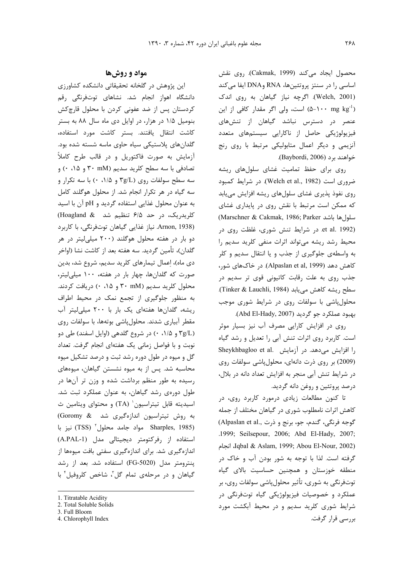محصول ایجاد میکند (Cakmak, 1999). روی نقش اساسی را در سنتز پروتئینها، RNA وDNA ایفا میکند (Welch, 2001). اگرچه نیاز گیاهان به روی اندک (۵−۱۰۰ mg kg<sup>-1)</sup> است، ولی اگر مقدار کافی از این عنصر در دسترس نباشد گیاهان از تنشهای فیزیولوژیکی حاصل از ناکارایی سیستمهای متعدد آنزیمی و دیگر اعمال متابولیکی مرتبط با روی رنج خواهند برد (Baybordi, 2006).

روی برای حفظ تمامیت غشای سلولهای ریشه ضروري است (Welch et al., 1982). در شرايط كمبود روی نفوذ پذیری غشای سلولهای ریشه افزایش مییابد که ممکن است مرتبط با نقش روی در پایداری غشای (Marschner & Cakmak, 1986; Parker سلول ها باشد et al. 1992). در شرایط تنش شوری، غلظت روی در محیط رشد ریشه میتواند اثرات منفی کلرید سدیم را به واسطهی جلوگیری از جذب و یا انتقال سدیم و کلر كاهش دهد (Alpaslan et al, 1999). در خاكهاي شور، جذب روی به علت رقابت کاتیونی قوی تر سدیم در سطح ريشه كاهش مي يابد (Tinker & Lauchli, 1984). محلول پاشی با سولفات روی در شرایط شوری موجب بهبود عملكرد جو گرديد (Abd El-Hady, 2007).

روی در افزایش کارایی مصرف آب نیز بسیار موثر است. کاربرد روی اثرات تنش آبی را تعدیل و رشد گیاه Sheykhbagloo et al. در آزمایش .Sheykhbagloo et al (2009) بر روی ذرت دانهای، محلول پاشی سولفات روی در شرایط تنش آبی منجر به افزایش تعداد دانه در بلال، درصد پروتئین و روغن دانه گردید.

تا کنون مطالعات زیادی درمورد کاربرد روی، در كاهش اثرات نامطلوب شوري در گياهان مختلف از جمله گوجه فرنگی، گندم، جو، برنج و ذرت ,.Alpaslan et al) .1999; Seilsepour, 2006; Abd El-Hady, 2007; lqbal & Aslam, 1999; Abou El-Nour, 2002)، انجام گرفته است. لذا با توجه به شور بودن آب و خاک در منطقه خوزستان و همچنین حساسیت بالای گیاه توتفرنگي به شوري، تأثير محلول¢اشي سولفات روي، بر عملکرد و خصوصیات فیزیولوژیکی گیاه توتفرنگی در شرایط شوری کلرید سدیم و در محیط آبکشت مورد بررسے قرار گرفت.

## مواد و روشها

این پژوهش در گلخانه تحقیقاتی دانشکده کشاورزی دانشگاه اهواز انجام شد. نشاهای توتفرنگی رقم كردستان پس از ضد عفونى كردن با محلول قارچكش بنومیل ۱/۵ در هزار، در اوایل دی ماه سال ۸۸ به بستر كاشت انتقال يافتند. بستر كاشت مورد استفاده، گلدانهای پلاستیکی سیاه حاوی ماسه شسته شده بود. آزمایش به صورت فاکتوریل و در قالب طرح کاملاً تصادفی با سه سطح کلرید سدیم (۳۰ mM و ۰،۱۵) و سه سطح سولفات روی (۳g/L و ۱/۵، ۰) با سه تکرار و سه گیاه در هر تکرار انجام شد. از محلول هوگلند کامل به عنوان محلول غذایی استفاده گردید و pH آن با اسید کلریدریک، در حد ۶/۵ تنظیم شد Kloagland & (Arnon, 1938 نياز غذايي گياهان توتفرنگي، با كاربرد دو بار در هفته محلول هوگلند (۲۰۰ میلیلیتر در هر گلدان)، تأمین گردید. سه هفته بعد از کاشت نشا (اواخر دی ماه)، اعمال تیمارهای کلرید سدیم، شروع شد، بدین صورت که گلدانها، چهار بار در هفته، ۱۰۰ میلی لیتر، محلول کلرید سدیم (۳۰ mM و ۰،۱۵) دریافت کردند. به منظور جلوگیری از تجمع نمک در محیط اطراف ریشه، گلدانها هفتهای یک بار با ۲۰۰ میلی لیتر آب مقطر آبیاری شدند. محلول پاشی بوتهها، با سولفات روی (۳g/L و ۱/۵، ۰) در شروع گلدهی (اوایل اسفند) طی دو نوبت و با فواصل زمانی یک هفتهای انجام گرفت. تعداد گل و میوه در طول دوره رشد ثبت و درصد تشکیل میوه محاسبه شد. پس از به میوه نشستن گیاهان، میوههای رسیده به طور منظم برداشت شده و وزن تر آنها در طول دورهی رشد گیاهان، به عنوان عملکرد ثبت شد. اسيديته قابل تيتراسيون<sup>י</sup> (TA) و محتواي ويتامين ث به روش تیتراسیون اندازهگیری شد Goromy & نيز با Sharples, 1985) مواد جامد محلول (TSS) نيز با استفاده از رفركتومتر ديجيتالي مدل (A.PAL-1) اندازهگیری شد. برای اندازهگیری سفتی بافت میوهها از ينترومتر مدل (FG-5020) استفاده شد. بعد از رشد گیاهان و در مرحلهی تمام گل<sup>7</sup>، شاخص کلروفیل<sup>۶</sup> با

4. Chlorophyll Index

<sup>1.</sup> Titratable Acidity

<sup>2.</sup> Total Soluble Solids

<sup>3.</sup> Full Bloom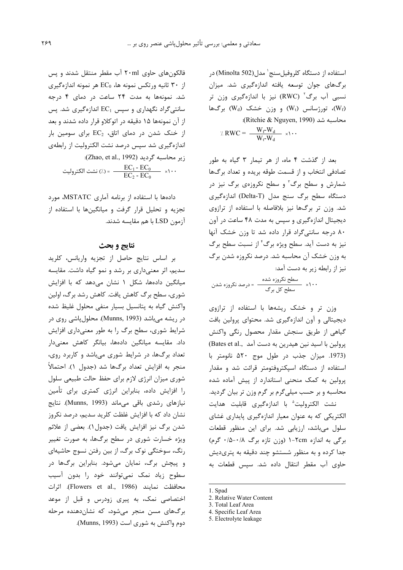استفاده از دستگاه کلروفیلسنج` مدل(Minolta 502) در برگهای جوان توسعه یافته اندازهگیری شد. میزان نسبی آب برگ<sup>۲</sup> (RWC) نیز با اندازهگیری وزن تر برگها (W<sub>t</sub>)، تورژسانس (W<sub>t</sub>) و وزن خشک (W<sub>t</sub>) برگها ( محاسبه شد (Ritchie & Nguyen, 1990):

$$
\angle RWC = \frac{W_f-W_d}{W_t-W_d} \times 1 \cdots
$$

بعد از گذشت ۴ ماه، از هر تیمار ۳ گیاه به طور تصادفی انتخاب و از قسمت طوقه بریده و تعداد برگها شمارش و سطح برگ<sup>۲</sup> و سطح نکروزهی برگ نیز در دستگاه سطح برگ سنج مدل (Delta-T) اندازهگیری شد. وزن تر برگها نیز بلافاصله با استفاده از ترازوی دیجیتال اندازهگیری و سپس به مدت ۴۸ ساعت در آون ۸۰ درجه سانتی گراد قرار داده شد تا وزن خشک آنها نیز به دست آید. سطح ویژه برگ ٔ از نسبت سطح برگ به وزن خشک آن محاسبه شد. درصد نکروزه شدن برگ نیز از رابطه زیر به دست آمد:

وزن تر و خشک ریشهها با استفاده از ترازوی دیجیتالی و آون اندازهگیری شد. محتوای پرولین بافت گیاهی از طریق سنجش مقدار محصول رنگی واکنش پرولین با اسید نین هیدرین به دست آمد ,.Bates et al (1973. میزان جذب در طول موج ۵۲۰ نانومتر با استفاده از دستگاه اسپکتروفتومتر قرائت شد و مقدار پرولین به کمک منحنی استاندارد از پیش آماده شده محاسبه و بر حسب میلیگرم بر گرم وزن تر بیان گردید. نشت الكتروليت<sup>ه</sup> با اندازهگيري قابليت هدايت الکتریکی که به عنوان معیار اندازهگیری پایداری غشای سلول میباشد، ارزیابی شد. برای این منظور قطعات برگی به اندازه ۲cm-۱ (وزن تازه برگ ۰/۵-۰/۸ گرم) جدا کرده و به منظور شستشو چند دقیقه به پتریدیش حاوى آب مقطر انتقال داده شد. سپس قطعات به

فالکونهای حاوی ۲۰ml آب مقطر منتقل شدند و پس از ۳۰ ثانیه ورتکس نمونه ها، EC<sub>0</sub> هر نمونه اندازهگیری شد. نمونهها به مدت ٢۴ ساعت در دمای ۴ درجه سانتی گراد نگهداری و سیس  $\mathrm{EC}_{1}$  اندازهگیری شد. پس از آن نمونهها ۱۵ دقیقه در اتوکلاو قرار داده شدند و بعد از خنک شدن در دمای اتاق، EC<sub>2</sub> برای سومین بار اندازهگیری شد سیس درصد نشت الکترولیت از رابطهی زير محاسبه گرديد (Zhao, et al., 1992): نشت الكتروليت (/) =  $\frac{EC_1 - EC_0}{EC_2 - EC_0}$  ×/ · ·

دادهها با استفاده از برنامه آماری MSTATC، مورد تجزیه و تحلیل قرار گرفت و میانگینها با استفاده از آزمون LSD با هم مقايسه شدند.

### نتايج و بحث

بر اساس نتايج حاصل از تجزيه واريانس، كلريد سدیم، اثر معنیداری بر رشد و نمو گیاه داشت. مقایسه میانگین دادهها، شکل ۱ نشان میدهد که با افزایش شوری، سطح برگ کاهش یافت. کاهش رشد برگ، اولین واكنش گياه به پتانسيل بسيار منفى محلول غليظ شده در ریشه میباشد (Munns, 1993). محلول پاشی روی در شرایط شوری، سطح برگ را به طور معنیداری افزایش داد. مقایسه میانگین دادهها، بیانگر کاهش معنیدار تعداد برگها، در شرایط شوری میباشد و کاربرد روی، منجر به افزايش تعداد برگ0ا شد (جدول ١). احتمالاً شوری میزان انرژی لازم برای حفظ حالت طبیعی سلول را افزایش داده، بنابراین انرژی کمتری برای تأمین نيازهاى رشدى باقى مىماند (Munns, 1993). نتايج نشان داد که با افزایش غلظت کلرید سدیم، درصد نکروز شدن برگ نیز افزایش یافت (جدول۱). بعضی از علائم ویژه خسارت شوری در سطح برگها، به صورت تغییر رنگ، سوختگی نوک برگ، از بین رفتن نسوج حاشیهای و پیچش برگ، نمایان میشود. بنابراین برگها در سطوح زیاد نمک نمیتوانند خود را بدون آسیب محافظت نمايند (Flowers et al., 1986). اثرات اختصاصی نمک، به پیری زودرس و قبل از موعد برگهای مسن منجر میشود، که نشاندهنده مرحله دوم واکنش به شوری است (Munns, 1993).

<sup>1.</sup> Spad

<sup>2.</sup> Relative Water Content

<sup>3.</sup> Total Leaf Area 4. Specific Leaf Area

<sup>5.</sup> Electrolyte leakage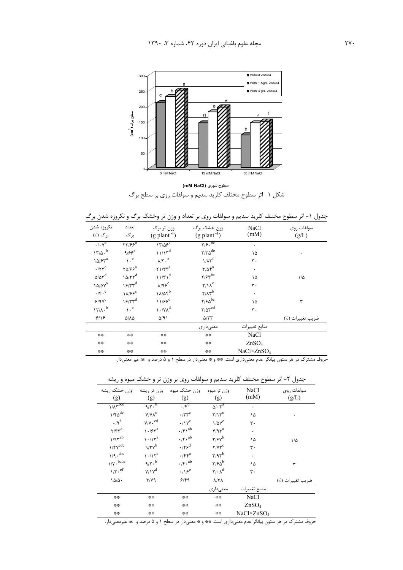

سطوح شوری (mM NaCl) شکل ۱- اثر سطوح مختلف کلرید سدیم و سولفات روی بر سطح برگ

جدول ۱- اثر سطوح مختلف کلرید سدیم و سولفات روی بر تعداد و وزن تر وخشک برگ و نکروزه شدن برگ

| نكروزه شدن                                      | تعداد                        | وزن تر برگ                        | وزن خشک برگ                                              | NaCl                | سولفات روى       |
|-------------------------------------------------|------------------------------|-----------------------------------|----------------------------------------------------------|---------------------|------------------|
| بر گ (./)                                       | بر گ                         | $(g$ plant <sup>-1</sup> )        | $(g$ plant <sup>-1</sup> )                               | (mM)                | (g/L)            |
| $\cdot/\cdot v^{e}$                             | $\frac{1}{2}$                | $17705^{\circ}$                   | $\sqrt{19 \cdot \text{bc}}$                              | ۰                   |                  |
| $17/\Delta \cdot b$                             | 9/66                         | $11/15^d$                         | $\mathbf{Y}/\mathbf{Y}\boldsymbol{\Delta}^{\mathrm{de}}$ | ۱۵                  | ۰                |
| $10/5r^a$                                       | $\mathcal{L}$ . <sup>e</sup> | $\lambda/\mathfrak{r} \cdot e$    | $1/\lambda r^f$                                          | ٣٠                  |                  |
| $\cdot$ /٢٣ <sup>e</sup>                        | $\Upsilon \Delta / 5e^a$     | $\Upsilon \Upsilon \Upsilon^a$    | $\mathbf{r}/\Delta\mathbf{r}^{\mathrm{a}}$               | $\bullet$           |                  |
| $\Delta/\Delta \Upsilon^d$                      | $10/Tr^d$                    | $11/T1^d$                         | $\gamma$ / $\gamma$ <sup>bc</sup>                        | ۱۵                  | $1/\Delta$       |
| $\backslash\Delta/\Delta\curlyvee^{\mathrm{a}}$ | $15/77^d$                    | $\lambda$ /98 <sup>e</sup>        | $Y/\lambda^e$                                            | ٣٠                  |                  |
| $\cdot$ /۴. <sup>e</sup>                        | $1\lambda$ /۶۶               | $1\lambda/\Delta f^b$             | $Y/\Lambda Y^b$                                          | $\bullet$           |                  |
| $\mathcal{F}/\mathfrak{q}\gamma^c$              | $15/77^d$                    | $11/55^d$                         | $\Upsilon/\mathfrak{so}^{\rm bc}$                        | ۱۵                  | ٣                |
| $17/A \cdot b$                                  | $\mathcal{L}$ <sup>e</sup>   | $\gamma \cdot / \gamma \lambda^d$ | $\gamma/\Delta \gamma^{cd}$                              | ٣٠                  |                  |
| 9/19                                            | $\Delta/\Lambda\Delta$       | $\Delta$ /9)                      | $\Delta/\tau\tau$                                        |                     | ضريب تغييرات (٪) |
|                                                 |                              |                                   | معنىدارى                                                 | منابع تغييرات       |                  |
| **                                              | **                           | 学学                                | **                                                       | NaCl                |                  |
| **                                              | **                           | 学学                                | **                                                       | ZnSO <sub>4</sub>   |                  |
| **                                              | **                           | **                                | **                                                       | $NaCl \times ZnSO4$ |                  |

.<br>حروف مشترک در هر ستون بیانگر عدم معنیداری است. \*\* و \* معنیدار در سطح ۱ و ۵ درصد و ns غیر معنیدار.

جدول ۲- اثر سطوح مختلف کلرید سدیم و سولفات روی بر وزن تر و خشک میوه و ریشه

| وزن خشک ریشه<br>(g)                            | وزن تر ریشه<br>(g)                     | وزن خشک میوه<br>(g)                                                            | وزن تر میوه<br>(g)                          | NaCl<br>(mM)           | سولفات روى<br>(g/L) |
|------------------------------------------------|----------------------------------------|--------------------------------------------------------------------------------|---------------------------------------------|------------------------|---------------------|
| $1/\lambda \overline{r}^{bcd}$                 | $9/7 \cdot b$                          | $\cdot$ /f <sup>b</sup>                                                        | $\Delta/\cdot \tau^a$                       | ۰                      |                     |
| $1/f\Delta^{de}$                               | $Y/Y\Lambda^C$                         | $\boldsymbol{\cdot} / \boldsymbol{\upgamma}^c$                                 | $\mathbf{r}/\mathbf{v}^{\mathrm{c}}$        | ۱۵                     | ۰                   |
| $\cdot$ /9 <sup>f</sup>                        | $\gamma/\gamma\boldsymbol{\cdot}^{cd}$ | $\cdot/\gamma^e$                                                               | $1/\Delta V^e$                              | ٣٠                     |                     |
| $\mathbf{r}/\mathbf{r}\mathbf{r}^{\mathrm{a}}$ | $\gamma \cdot$ / $5r^a$                | $\cdot$ /f $\backslash$ $^{\text{ab}}$                                         | $f/qr^a$                                    | ۰                      |                     |
| $1/9 \gamma^{ab}$                              | $\gamma \cdot / \gamma^{a}$            | $\boldsymbol{\cdot}/\boldsymbol{\mathfrak{r}}\boldsymbol{\cdot}^{\mathrm{ab}}$ | $\tau$ / $\epsilon v^b$                     | ۱۵                     | $1/\Delta$          |
| $1/\mathfrak{r} \mathsf{v}^{\text{cde}}$       | $9/\tau v^b$                           | $\cdot$ /۲۶ <sup>d</sup>                                                       | $Y/YY^c$                                    | ٣٠                     |                     |
| $1/9 \cdot ^{abc}$                             | $\gamma \cdot / \gamma^a$              | $\cdot$ /۴۴ <sup>a</sup>                                                       | $\eta \gamma \eta^b$                        | ۰                      |                     |
| $\gamma/\gamma \cdot ^{bcde}$                  | $9/7 \cdot b$                          | $\cdot$ /f $\cdot$ <sup>ab</sup>                                               | $\mathbf{r}/\mathbf{r} \Delta^{\mathrm{b}}$ | ۱۵                     | ٣                   |
| $1/\mathfrak{r} \cdot \text{ef}$               | $Y/Y^d$                                | $\cdot/\gamma e^e$                                                             | $\mathbf{Y}/\cdot \mathbf{A}^{\mathrm{d}}$  | ٣.                     |                     |
| $1\Delta/\Delta$ .                             | $\mathbf{y}(\mathbf{y})$               | 9/99                                                                           | $\lambda/\tau\lambda$                       |                        | ضريب تغييرات (٪)    |
|                                                |                                        |                                                                                | معنىدارى                                    | منابع تغييرات          |                     |
| **                                             | 学業                                     | 学学                                                                             | **                                          | NaCl                   |                     |
| **                                             | 学業                                     | 学学                                                                             | 学学                                          | ZnSO <sub>4</sub>      |                     |
| **                                             | 学業                                     | 学学                                                                             | 学学                                          | NaCl×ZnSO <sub>4</sub> |                     |

حروف مشترک در هر ستون بیانگر عدم معنیداری است. \*\* و \* معنیدار در سطح ۱ و ۵ درصد و ns غیرمعنیدار.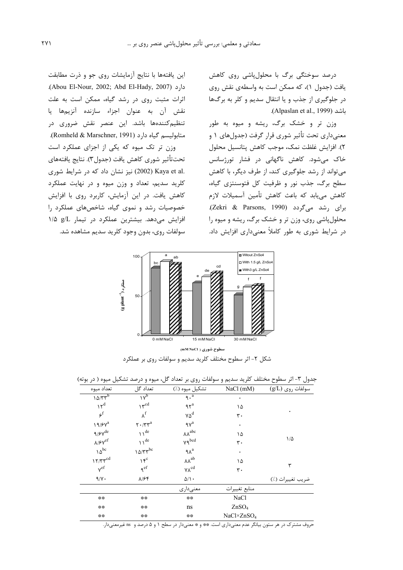درصد سوختگی برگ با محلولپاشی روی کاهش یافت (جدول ۱)، که ممکن است به واسطهی نقش روی در جلوگیری از جذب و یا انتقال سدیم و کلر به برگها باشد (Alpaslan et al., 1999).

وزن تر و خشک برگ، ریشه و میوه به طور معنیداری تحت تأثیر شوری قرار گرفت (جدولهای ۱ و ٢). افزايش غلظت نمك، موجب كاهش پتانسيل محلول خاک میشود. کاهش ناگهانی در فشار تورژسانس می تواند از رشد جلوگیری کند، از طرف دیگر، با کاهش سطح برگ، جذب نور و ظرفیت کل فتوسنتزی گیاه، کاهش مییابد که باعث کاهش تأمین آسمیلات لازم برای رشد میگردد (Zekri & Parsons, 1990). محلولپاشی روی، وزن تر و خشک برگ، ریشه و میوه را در شرایط شوری به طور کاملاً معنیداری افزایش داد.

این یافتهها با نتایج آزمایشات روی جو و ذرت مطابقت دارد (Abou El-Nour, 2002; Abd El-Hady, 2007). اثرات مثبت روی در رشد گیاه، ممکن است به علت نقش آن به عنوان اجزاء سازنده آنزیمها یا تنظیمکنندهها باشد. این عنصر نقش ضروری در متابولیسم گیاه دارد (Romheld & Marschner, 1991). وزن تر تک میوه که یکی از اجزای عملکرد است تحت $\vec{a}$ اثیر شوری کاهش یافت (جدول۳). نتایج یافتههای .Kaya et al (2002) نیز نشان داد که در شرایط شوری کلريد سديم، تعداد و وزن ميوه و در نهايت عملکرد كاهش يافت. در اين آزمايش، كاربرد روى با افزايش خصوصیات رشد و نموی گیاه، شاخصهای عملکرد را افزایش میدهد. بیشترین عملکرد در تیمار g/L ۱/۵ سولفات روی، بدون وجود کلرید سدیم مشاهده شد.



شکل ۲- اثر سطوح مختلف کلرید سدیم و سولفات روی بر عملکرد

|                                                      |                                                                | , , , ,                                                                                          | $\rightarrow$<br>      | ີ<br>$\tilde{\phantom{a}}$ |
|------------------------------------------------------|----------------------------------------------------------------|--------------------------------------------------------------------------------------------------|------------------------|----------------------------|
| تعداد ميوه                                           | تعداد گل                                                       | تشكيل ميوه (./)                                                                                  | NaCl (mM)              | $(g/L)$ سولفات روی         |
| $10/Tr^{b}$                                          | 1V <sub>p</sub>                                                | $\overline{q \cdot a}$                                                                           | ٠                      |                            |
| $\gamma^{d}$                                         | $\Upsilon^{\text{cd}}$                                         | $95^a$                                                                                           | ۱۵                     |                            |
| $5^{\circ}$                                          | $\lambda^{\rm f}$                                              | $\mathsf{v}\mathsf{\Delta}^\mathrm{d}$                                                           | ٣٠                     | ٠                          |
| $19/8V^a$                                            | $\mathbf{Y}\boldsymbol{\cdot}/\mathbf{Y}\mathbf{Y}^\mathrm{a}$ | $\ensuremath{\mathsf{q}}\xspace \ensuremath{\mathsf{v}}\xspace^{\ensuremath{\mathsf{a}}\xspace}$ | ٠                      |                            |
| $\mathcal{A}/\mathcal{F}\mathsf{V}^\mathrm{de}$      | $\bigwedge$ <sup>de</sup>                                      | $\lambda\lambda^{abc}$                                                                           | ۱۵                     |                            |
| $\lambda/\mathfrak{F}\mathsf{Y}^{\operatorname{ef}}$ | $\bigvee$ <sup>de</sup>                                        | $Yq^{bcd}$                                                                                       | ٣٠                     | $1/\Delta$                 |
| $\Delta^{bc}$                                        | $10/Tr^{bc}$                                                   | $9\lambda^a$                                                                                     | ٠                      |                            |
| $17/Tr^{cd}$                                         | $\gamma \xi^c$                                                 | $\lambda\lambda^{ab}$                                                                            | ۱۵                     |                            |
| $v^{ef}$                                             | $\gamma$ ef                                                    | $\gamma \Lambda^{cd}$                                                                            | ٣٠                     | ٣                          |
| 9/1.                                                 | $\lambda$ /۶۴                                                  | $\Delta/\Lambda$ .                                                                               |                        | ضريب تغييرات (٪)           |
|                                                      |                                                                | معنىدارى                                                                                         | منابع تغييرات          |                            |
| **                                                   | **                                                             | **                                                                                               | NaCl                   |                            |
| **                                                   | **                                                             | ns                                                                                               | ZnSO <sub>4</sub>      |                            |
| **                                                   | **                                                             | **                                                                                               | NaCl×ZnSO <sub>4</sub> |                            |

جدول ۳- اثر سطوح مختلف کلرید سدیم و سولفات روی بر تعداد گل، میوه و درصد تشکیل میوه ( در بوته)

حروف مشترک در هر ستون بیانگر عدم معنیداری است. \*\* و \* معنیدار در سطح ۱ و ۵ درصد و ms غیرمعنیدار.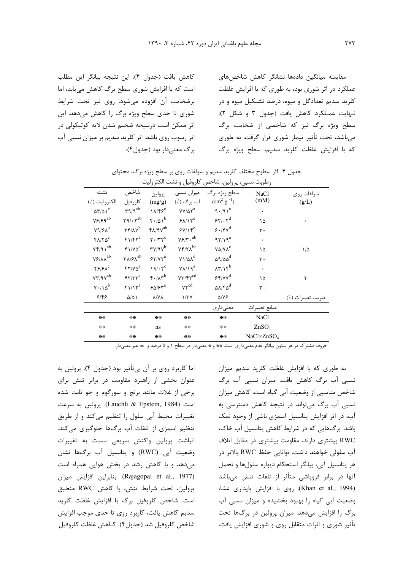كاهش يافت (جدول ۴). اين نتيجه بيانگر اين مطلب است که با افزایش شوری سطح برگ کاهش مییابد، اما برضخامت آن افزوده می شود. روی نیز تحت شرایط شوری تا حدی سطح ویژه برگ را کاهش میدهد. این اثر ممکن است درنتیجه ضخیم شدن لایه کوتیکولی در اثر رسوب روی باشد. اثر کلرید سدیم بر میزان نسبی آب برگ معنی دار بود (جدول۴). مقايسه ميانگين دادهها نشانگر كاهش شاخصهاى عملکرد در اثر شوری بود، به طوری که با افزایش غلظت کلرید سدیم تعدادگل و میوه، درصد تشکیل میوه و در نهايت عمـلكرد كاهش يافت (جدول ٣ و شكل ٢). سطح ویژه برگ نیز که شاخصی از ضخامت برگ می باشد، تحت تأثیر تیمار شوری قرار گرفت. به طوری كه با افزايش غلظت كلريد سديم، سطح ويژه برگ

جدول ۴- اثر سطوح مختلف کلرید سدیم و سولفات روی بر سطح ویژه برگ، محتوای

| رطوبت نسبي، پرولين، شاخص كلروفيل و نشت الكتروليت                 |                                                                                     |                                                                                        |                                                      |                                         |                     |                  |  |
|------------------------------------------------------------------|-------------------------------------------------------------------------------------|----------------------------------------------------------------------------------------|------------------------------------------------------|-----------------------------------------|---------------------|------------------|--|
| نشت                                                              | شاخص                                                                                | پرولين                                                                                 |                                                      | سطح ویژه برگ میزان نسبی                 | NaCl                | سولفات روى       |  |
| الكتروليت (./)                                                   | كلروفيل                                                                             | (mg/g)                                                                                 | آب برگ (./)                                          | $\rm (cm^2 \ g^{-1})$                   | (mM)                | (g/L)            |  |
| $\Delta \Upsilon / \Delta \overline{\Upsilon}$                   | $r \sqrt{q^{ab}}$                                                                   | $1\lambda/F5^{\overline{c}}$                                                           | $YY/\Delta \gamma^{\overline{a}}$                    | $9.79 \sqrt{a}$                         | $\bullet$           |                  |  |
| $\mathsf{Y}\mathsf{P}/\mathsf{P}\mathsf{q}^{\text{ab}}$          | $\mathbf{r}\mathbf{q}/\mathbf{r}\mathbf{r}^{\mathrm{ab}}$                           | $f \cdot \Delta v^b$                                                                   | 94/15                                                | 55/10                                   | ۱۵                  |                  |  |
| $\mathsf{Y} \mathsf{Q} / \mathsf{F} \boldsymbol{\Lambda}^a$      | $\mathbf{r} \mathbf{r} / \mathbf{v}^{\mathbf{b}}$                                   | $f\lambda/fV^{ab}$                                                                     | $5Y/15^e$                                            | $9.79^{d}$                              | ٣٠                  |                  |  |
| $FA/TA^c$                                                        | $f1/f1^a$                                                                           | $\mathbf{Y} \cdot / \mathbf{Y} \mathbf{Y}^{\mathbf{C}}$                                | $\gamma\mathfrak{s}/\mathfrak{r}\cdot{}^{ab}$        | $97/19^a$                               | $\bullet$           |                  |  |
| $\forall \mathfrak{k}/\mathfrak{q} \wr^{ab}$                     | $f \wedge \wedge \wedge \wedge^a$                                                   | $\mathbf{r} \mathbf{v}/\mathbf{v}^{\mathbf{b}}$                                        | $\mathsf{Y}\mathsf{F}/\mathsf{Y}\Lambda^\mathrm{bc}$ | $Y\Delta/Y\Lambda^c$                    | ۱۵                  | $1/\Delta$       |  |
| $\mathsf{Y}\mathsf{P}/\mathsf{A}\mathsf{A}^{ab}$                 | $\mathbf{Y}\boldsymbol{\lambda}/\boldsymbol{\mathfrak{F}}\boldsymbol{\Lambda}^{ab}$ | $57/77^a$                                                                              | $Y1/\Delta\lambda^d$                                 | $\Delta$ 9/ $\Delta\Delta$ <sup>d</sup> | ٣٠                  |                  |  |
| $f$ ۶/۶ $\Lambda$ c                                              | $\mathfrak{f}\mathfrak{r}/\mathfrak{v}\vartriangle^a$                               | $19/17^c$                                                                              | $Y\lambda/\lambda q^a$                               | $\lambda \tau / \lambda f^b$            | $\bullet$           |                  |  |
| $\mathsf{Y}\mathsf{Y}'\mathsf{Y}\mathsf{Y}^{ab}$                 | $FT/rr^a$                                                                           | $f \cdot / \Lambda f^b$                                                                | $\mathsf{V}\mathsf{Y}/\mathsf{F}\mathsf{Y}^{cd}$     | 55/70                                   | ١۵                  | ٣                |  |
| $\mathsf{Y}\boldsymbol{\cdot}/\mathsf{1}\mathsf{Q}^{\mathsf{b}}$ | $f \wedge \wedge r^a$                                                               | $\mathop{\varphi}\Delta/\mathop{\varphi}\nolimits\mathop{\mathsf{Y}}\nolimits^{\rm a}$ | $\mathsf{Y}\mathsf{Y}^{\text{cd}}$                   | $\Delta\lambda/\mathfrak{r}\Delta^d$    | ٣٠                  |                  |  |
| 9189                                                             | $\Delta/\Delta$                                                                     | <b>A/YA</b>                                                                            | 1/TV                                                 | $\Delta/\gamma$                         |                     | ضريب تغييرات (٪) |  |
|                                                                  |                                                                                     |                                                                                        |                                                      | معنىداري                                | منابع تغييرات       |                  |  |
| **                                                               | **                                                                                  | **                                                                                     | **                                                   | **                                      | <b>NaCl</b>         |                  |  |
| **                                                               | **                                                                                  | ns                                                                                     | **                                                   | **                                      | ZnSO <sub>4</sub>   |                  |  |
| **                                                               | **                                                                                  | **                                                                                     | **                                                   | **                                      | $NaCl \times ZnSO4$ |                  |  |

حروف مشترک در هر ستون بیانگر عدم معنیداری است. \*\* و \* معنیدار در سطح ۱ و ۵ درصد و ns غیر معنیدار.

اما کاربرد روی بر آن بی¤أثیر بود (جدول ۴). پرولین به عنوان بخشی از راهبرد مقاومت در برابر تنش برای برخی از غلات مانند برنج و سورگوم و جو ثابت شده است (Lauchli & Epstein, 1984). پرولین به سرعت تغییرات محیط آبی سلول را تنظیم میکند و از طریق تنظیم اسمزی از تلفات آب برگها جلوگیری میکند. انباشت پرولین واکنش سریعی نسبت به تغییرات وضعيت أبي (RWC) و پتانسيل أب برگها نشان میدهد و با کاهش رشد در بخش هوایی همراه است (Rajagopal et al., 1977). بنابراين افزايش ميزان يرولين، تحت شرايط تنش، با كاهش RWC منطبق است. شاخص کلروفیل برگ با افزایش غلظت کلرید سديم كاهش يافت، كاربرد روى تا حدى موجب افزايش شاخص كلروفيل شد (جدول۴). كـاهش غلظت كلروفيل

به طوری که با افزایش غلظت کلرید سدیم میزان نسبی آب برگ کاهش یافت. میزان نسبی آب برگ شاخص مناسبی از وضعیت آبی گیاه است. کاهش میزان نسبی آب برگ مے تواند در نتیجه کاهش دسترسی به آب، در اثر افزایش پتانسیل اسمزی ناشی از وجود نمک باشد. برگهایی که در شرایط کاهش پتانسیل آب خاک، RWC بیشتری دارند، مقاومت بیشتری در مقابل اتلاف آب سلولی خواهند داشت. توانایی حفظ RWC بالاتر در هر پتانسیل آبی، بیانگر استحکام دیواره سلولها و تحمل آنها در برابر فروپاشی متأثر از تلفات تنش میباشد (Khan et al., 1994). روى با افزايش پايدارى غشا، وضعیت آبی گیاه را بهبود بخشیده و میزان نسبی آب برگ را افزایش میدهد. میزان پرولین در برگها تحت تأثیر شوری و اثرات متقابل روی و شوری افزایش یافت،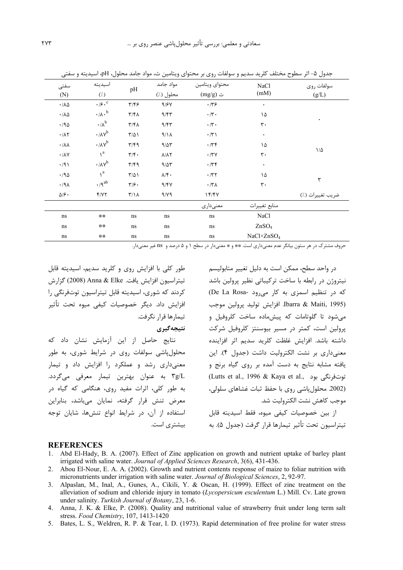| سی<br>,                                           | ⊤עטי יידי<br>اسيديته            |                           | مواد جامد                   | بیتا و شوشت روی بر تفصیل ویکنس<br>محتواي ويتامين | -ر پ                   | رے<br><b>F</b><br>بنوں م |
|---------------------------------------------------|---------------------------------|---------------------------|-----------------------------|--------------------------------------------------|------------------------|--------------------------|
| سفتى<br>(N)                                       | $(\lambda)$                     | pH                        | محلول (٪)                   | ث (mg/g)                                         | NaCl<br>(mM)           | سولفات روى<br>(g/L)      |
| $\cdot/\lambda\Delta$                             | $\cdot$ / $\mathfrak{c}$ .      | ۳/۴۶                      | 9/8V                        | .779                                             | $\bullet$              |                          |
| $\cdot$ /<br>V $\lozenge$                         | $\cdot$ / $\wedge$ <sup>b</sup> | $\mathbf{r}/\mathbf{r}$   | 9/57                        | $\boldsymbol{\cdot}$ /٣ $\boldsymbol{\cdot}$     | ۱۵                     |                          |
| $\cdot$ /9 $\Delta$                               | $\cdot$ / $\Lambda^b$           | $\mathbf{r}/\mathbf{r}$   | 9/57                        | $\boldsymbol{\cdot}$ /٣ $\boldsymbol{\cdot}$     | $\mathbf{r}$ .         | ٠                        |
| $\cdot/\lambda\,\mathrm{Y}$                       | $\cdot/\lambda v^b$             | $T/\Delta$                | 4/1A                        | $\cdot$ /٣١                                      | ٠                      |                          |
| $\boldsymbol{\cdot}$ /<br>V $\boldsymbol{\gamma}$ | $\cdot/\lambda v^b$             | $\mathbf{r}/\mathbf{f}$   | 9/27                        | $\cdot$ /٣۴                                      | ۱۵                     |                          |
| $\cdot/\lambda\mathrm{V}$                         | $\gamma^a$                      | $\mathbf{r}/\mathbf{r}$ . | $\lambda/\lambda\Upsilon$   | $\boldsymbol{\cdot}$ /٣٧                         | $\mathbf{r}$ .         | $1/\Delta$               |
| $\cdot$ /91                                       | $\cdot/\lambda v^b$             | $\mathbf{r}/\mathbf{f}$   | 9/27                        | 479                                              | ٠                      |                          |
| $\cdot$ /90                                       | $\lambda^a$                     | $T/\Delta$                | $\lambda/\mathfrak{f}\cdot$ | $\cdot$ /۳۲                                      | ۱۵                     |                          |
| .44                                               | $\cdot$ /9 ab                   | $\mathbf{y}$              | 9/54                        | $\cdot$ /۳ $\Lambda$                             | $\mathbf{r}$ .         | ٣                        |
| $\Delta/\mathfrak{S}\cdot$                        | Y/YY                            | $\mathcal{N}/\mathcal{N}$ | 9/19                        | 15/5                                             |                        | ضريب تغييرات (٪)         |
|                                                   |                                 |                           |                             | معنىداري                                         | منابع تغييرات          |                          |
| $\rm ns$                                          | **                              | ns                        | ns                          | ns                                               | NaCl                   |                          |
| ns                                                | **                              | ns                        | ns                          | ns                                               | ZnSO <sub>4</sub>      |                          |
| ns                                                | **                              | ns                        | ns                          | ns                                               | NaCl×ZnSO <sub>4</sub> |                          |

حدول ۵– اثر سطوح مختلف کلرید سدیم و سولفات روی بر محتوای ویتامین ث، مواد حامد محلول BH، اسیدیته و سفت

حروف مشترک در هر ستون بیانگر عدم معنیداری است. \*\* و \* معنیدار در سطح ۱ و ۵ درصد و ns غیر معنیدار.

طور کلی با افزایش روی و کلرید سدیم، اسیدیته قابل تيتراسيون افزايش يافت. Anna & Elke (2008) گزا, ش کردند که شوری، اسیدیته قابل تیتراسیون توتفرنگی را افزایش داد. دیگر خصوصیات کیفی میوه تحت تأثیر تیمارها قرار نگرفت.

نتبجه گېرې

نتایج حاصل از این آزمایش نشان داد که محلول پاشی سولفات روی در شرایط شوری، به طور معنیداری رشد و عملکرد را افزایش داد و تیمار ٣g/L به عنوان بهترين تيمار معرفي مي گردد. به طور کلی، اثرات مفید روی، هنگامی که گیاه در معرض تنش قرار گرفته، نمایان میباشد، بنابراین استفاده از آن، در شرایط انواع تنشها، شایان توجه بیشتری است.

در واحد سطح، ممکن است به دلیل تغییر متابولیسم نیتروژن در رابطه با ساخت ترکیباتی نظیر پرولین باشد که در تنظیم اسمزی به کار می رود -De La Rosa) Ibarra & Maiti, 1995). افزايش توليد پرولين موجب مے شود تا گلوتامات که پیش ماده ساخت کلروفیل و پرولین است، کمتر در مسیر بیوسنتز کلروفیل شرکت داشته باشد. افزایش غلظت کلرید سدیم اثر افزاینده معنیداری بر نشت الکترولیت داشت (جدول ۴). این یافته مشابه نتایج به دست آمده بر روی گیاه برنج و (Lutts et al., 1996 & Kaya et al., توتفرنگی بود (2002. محلول یاشی روی با حفظ ثبات غشاهای سلولی، موحب كاهش نشت الكتروليت شد.

از بین خصوصیات کیفی میوه، فقط اسیدیته قابل تيتراسيون تحت تأثير تيمارها قرار گرفت (جدول ۵). به

#### **REFERENCES**

- 1. Abd El-Hady, B. A. (2007). Effect of Zinc application on growth and nutrient uptake of barley plant irrigated with saline water. Journal of Applied Sciences Research, 3(6), 431-436.
- 2. Abou El-Nour, E. A. A. (2002). Growth and nutrient contents response of maize to foliar nutrition with micronutrients under irrigation with saline water. Journal of Biological Sciences, 2, 92-97.
- 3. Alpaslan, M., Inal, A., Gunes, A., Cikili, Y. & Oscan, H. (1999). Effect of zinc treatment on the alleviation of sodium and chloride injury in tomato (Lycopersicum esculentum L.) Mill. Cv. Late grown under salinity. Turkish Journal of Botany, 23, 1-6.
- 4. Anna, J. K. & Elke, P. (2008). Quality and nutritional value of strawberry fruit under long term salt stress. Food Chemistry, 107, 1413-1420
- 5. Bates, L. S., Weldren, R. P. & Tear, I. D. (1973). Rapid determination of free proline for water stress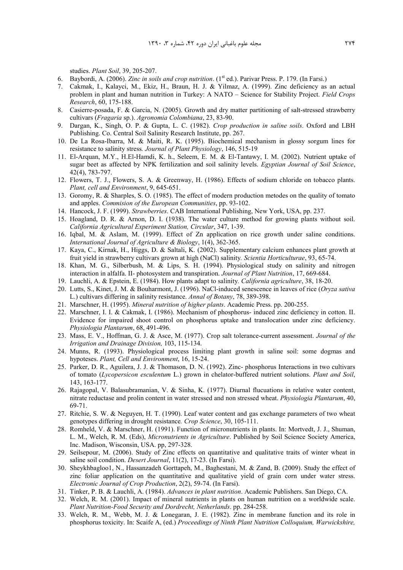studies. *Plant Soil*, 39, 205-207.

- 6. Baybordi, A. (2006). *Zinc in soils and crop nutrition*. (1st ed.). Parivar Press. P. 179. (In Farsi.)
- 7. Cakmak, I., Kalayci, M., Ekiz, H., Braun, H. J. & Yilmaz, A. (1999). Zinc deficiency as an actual problem in plant and human nutrition in Turkey: A NATO – Science for Stability Project. *Field Crops Research*, 60, 175-188.
- 8. Casierre-posada, F. & Garcia, N. (2005). Growth and dry matter partitioning of salt-stressed strawberry cultivars (*Fragaria* sp.). *Agronomia Colombiana*, 23, 83-90.
- 9. Dargan, K., Singh, O. P. & Gupta, L. C. (1982). *Crop production in saline soils*. Oxford and LBH Publishing. Co. Central Soil Salinity Research Institute, pp. 267.
- 10. De La Rosa-Ibarra, M. & Maiti, R. K. (1995). Biochemical mechanism in glossy sorgum lines for resistance to salinity stress*. Journal of Plant Physiology*, 146, 515-19
- 11. El-Arquan, M.Y., H.El-Hamdi, K. h., Seleem, E. M. & El-Tantawy, I. M. (2002). Nutrient uptake of sugar beet as affected by NPK fertilization and soil salinity levels. *Egyptian Journal of Soil Science*, 42(4), 783-797.
- 12. Flowers, T. J., Flowers, S. A. & Greenway, H. (1986). Effects of sodium chloride on tobacco plants. *Plant, cell and Environment*, 9, 645-651.
- 13. Goromy, R. & Sharples, S. O. (1985). The effect of modern production metodes on the quality of tomato and apples. *Commision of the European Communities*, pp. 93-102.
- 14. Hancock, J. F. (1999). *Strawberries*. CAB International Publishing, New York, USA, pp. 237.
- 15. Hoagland, D. R. & Arnon, D. I. (1938). The water culture method for growing plants without soil. *California Agricultural Experiment Station, Circular*, 347, 1-39.
- 16. Iqbal, M. & Aslam, M. (1999). Effect of Zn application on rice growth under saline conditions. *International Journal of Agriculture & Biology*, 1(4), 362-365.
- 17. Kaya, C., Kirnak, H., Higgs, D. & Saltali, K. (2002). Supplementary calcium enhances plant growth at fruit yield in strawberry cultivars grown at high (NaCl) salinity*. Scientia Horticulturae*, 93, 65-74.
- 18. Khan, M. G., Silberbush, M. & Lips, S. H. (1994). Physiological study on salinity and nitrogen interaction in alfalfa. II- photosystem and transpiration. *Journal of Plant Nutrition*, 17, 669-684.
- 19. Lauchli, A. & Epstein, E. (1984). How plants adapt to salinity*. California agriculture*, 38, 18-20.
- 20. Lutts, S., Kinet, J. M. & Bouharmont, J. (1996). NaCl-induced senescence in leaves of rice (*Oryza sativa* L.) cultivars differing in salinity resistance. *Annal of Botany*, 78, 389-398.
- 21. Marschner, H. (1995). *Mineral nutrition of higher plants*. Academic Press. pp. 200-255.
- 22. Marschner, I. I. & Cakmak, I. (1986). Mechanism of phosphorus- induced zinc deficiency in cotton. II. Evidence for impaired shoot control on phosphorus uptake and translocation under zinc deficiency. *Physiologia Plantarum*, 68, 491-496.
- 23. Mass, E. V., Hoffman, G. J. & Asce, M. (1977). Crop salt tolerance-current assessment. *Journal of the Irrigation and Drainage Division,* 103, 115-134.
- 24. Munns, R. (1993). Physiological process limiting plant growth in saline soil: some dogmas and hypoteses. *Plant, Cell and Environment*, 16, 15-24.
- 25. Parker, D. R., Aguilera, J. J. & Thomason, D. N. (1992). Zinc- phosphorus Interactions in two cultivars of tomato (*Lycopersicon esculentum* L.) grown in chelator-buffered nutrient solutions. *Plant and Soil*, 143, 163-177.
- 26. Rajagopal, V. Balasubramanian, V. & Sinha, K. (1977). Diurnal flucuations in relative water content, nitrate reductase and prolin content in water stressed and non stressed wheat. *Physiologia Plantarum*, 40, 69-71.
- 27. Ritchie, S. W. & Neguyen, H. T. (1990). Leaf water content and gas exchange parameters of two wheat genotypes differing in drought resistance*. Crop Science*, 30, 105-111.
- 28. Romheld, V. & Marschner, H. (1991). Function of micronutrients in plants. In: Mortvedt, J. J., Shuman, L. M., Welch, R. M. (Eds), *Micronutrients in Agriculture*. Published by Soil Science Society America, Inc. Madison, Wisconsin, USA. pp, 297-328.
- 29. Seilsepour, M. (2006). Study of Zinc effects on quantitative and qualitative traits of winter wheat in saline soil condition. *Desert Journal*, 11(2), 17-23. (In Farsi).
- 30. Sheykhbagloo1, N., Hassanzadeh Gorttapeh, M., Baghestani, M. & Zand, B. (2009). Study the effect of zinc foliar application on the quantitative and qualitative yield of grain corn under water stress. *Electronic Journal of Crop Production*, 2(2), 59-74. (In Farsi).
- 31. Tinker, P. B. & Lauchli, A. (1984). *Advances in plant nutrition*. Academic Publishers. San Diego, CA.
- 32. Welch, R. M. (2001). Impact of mineral nutrients in plants on human nutrition on a worldwide scale. *Plant Nutrition-Food Security and Dordrecht, Netherlands*. pp. 284-258.
- 33. Welch, R. M., Webb, M. J. & Lonegaran, J. E. (1982). Zinc in membrane function and its role in phosphorus toxicity. In: Scaife A, (ed.) *Proceedings of Ninth Plant Nutrition Colloquium, Warwickshire,*